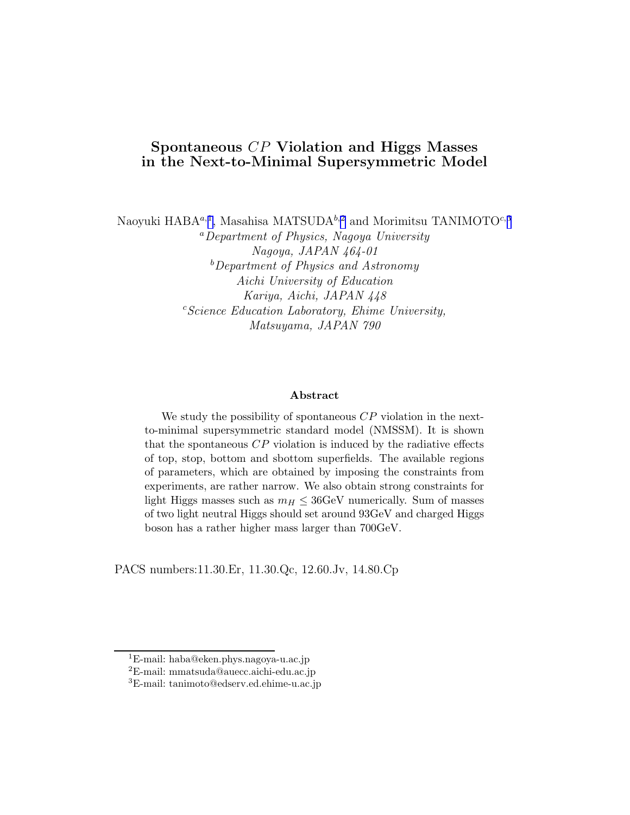### Spontaneous CP Violation and Higgs Masses in the Next-to-Minimal Supersymmetric Model

Naoyuki HABA<sup>a,1</sup>, Masahisa MATSUDA<sup>b,2</sup> and Morimitsu TANIMOTO<sup>c,3</sup>

<sup>a</sup>Department of Physics, Nagoya University Nagoya, JAPAN 464-01  $b$ Department of Physics and Astronomy Aichi University of Education Kariya, Aichi, JAPAN 448  $c$ Science Education Laboratory, Ehime University, Matsuyama, JAPAN 790

#### Abstract

We study the possibility of spontaneous  $\mathbb{CP}$  violation in the nextto-minimal supersymmetric standard model (NMSSM). It is shown that the spontaneous  $\mathbb{CP}$  violation is induced by the radiative effects of top, stop, bottom and sbottom superfields. The available regions of parameters, which are obtained by imposing the constraints from experiments, are rather narrow. We also obtain strong constraints for light Higgs masses such as  $m_H \leq 36 \text{GeV}$  numerically. Sum of masses of two light neutral Higgs should set around 93GeV and charged Higgs boson has a rather higher mass larger than 700GeV.

PACS numbers:11.30.Er, 11.30.Qc, 12.60.Jv, 14.80.Cp

<sup>1</sup>E-mail: haba@eken.phys.nagoya-u.ac.jp

<sup>2</sup>E-mail: mmatsuda@auecc.aichi-edu.ac.jp

<sup>3</sup>E-mail: tanimoto@edserv.ed.ehime-u.ac.jp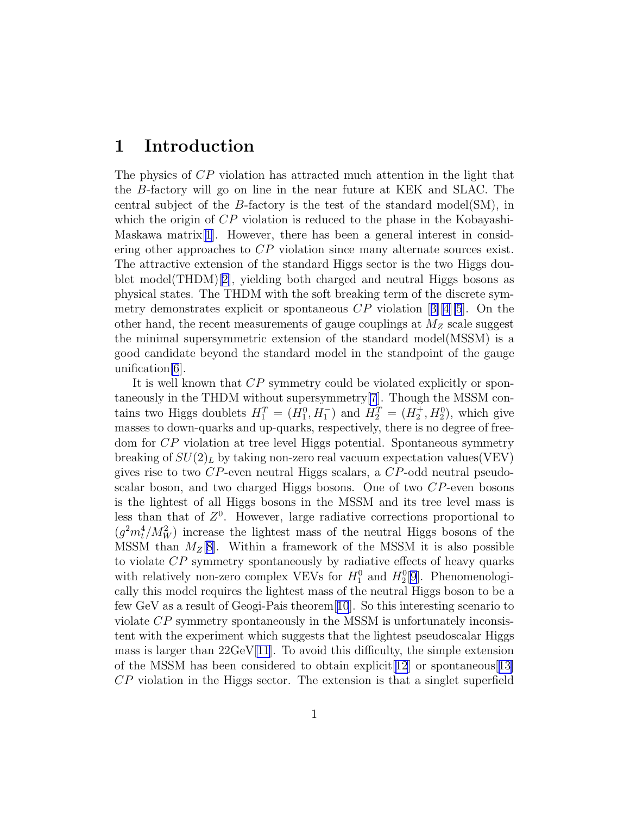### 1 Introduction

The physics of CP violation has attracted much attention in the light that the B-factory will go on line in the near future at KEK and SLAC. The central subject of the B-factory is the test of the standard model(SM), in which the origin of  $\overline{CP}$  violation is reduced to the phase in the Kobayashi-Maskawa matrix[[1\]](#page-16-0). However, there has been a general interest in considering other approaches to CP violation since many alternate sources exist. The attractive extension of the standard Higgs sector is the two Higgs doublet model(THDM)[[2\]](#page-16-0), yielding both charged and neutral Higgs bosons as physical states. The THDM with the soft breaking term of the discrete symmetrydemonstrates explicit or spontaneous  $\mathbb{CP}$  violation [[3\]\[4\]\[5](#page-16-0)]. On the other hand, the recent measurements of gauge couplings at  $M_Z$  scale suggest the minimal supersymmetric extension of the standard model(MSSM) is a good candidate beyond the standard model in the standpoint of the gauge unification[\[6](#page-16-0)].

It is well known that CP symmetry could be violated explicitly or spontaneously in the THDM without supersymmetry[\[7](#page-16-0)]. Though the MSSM contains two Higgs doublets  $H_1^T = (H_1^0, H_1^-)$  and  $H_2^T = (H_2^+, H_2^0)$ , which give masses to down-quarks and up-quarks, respectively, there is no degree of freedom for CP violation at tree level Higgs potential. Spontaneous symmetry breaking of  $SU(2)_L$  by taking non-zero real vacuum expectation values(VEV) gives rise to two CP-even neutral Higgs scalars, a CP-odd neutral pseudoscalar boson, and two charged Higgs bosons. One of two CP-even bosons is the lightest of all Higgs bosons in the MSSM and its tree level mass is less than that of  $Z<sup>0</sup>$ . However, large radiative corrections proportional to  $(g^2m_t^4/M_W^2)$  increase the lightest mass of the neutral Higgs bosons of the MSSM than  $M_Z[8]$  $M_Z[8]$ . Within a framework of the MSSM it is also possible to violate CP symmetry spontaneously by radiative effects of heavy quarks with relatively non-zero complex VEVs for  $H_1^0$  and  $H_2^0[9]$  $H_2^0[9]$  $H_2^0[9]$ . Phenomenologically this model requires the lightest mass of the neutral Higgs boson to be a few GeV as a result of Geogi-Pais theorem[[10](#page-16-0)]. So this interesting scenario to violate CP symmetry spontaneously in the MSSM is unfortunately inconsistent with the experiment which suggests that the lightest pseudoscalar Higgs mass is larger than  $22 \text{GeV}$ [\[11\]](#page-16-0). To avoid this difficulty, the simple extension of the MSSM has been considered to obtain explicit  $[12]$  $[12]$  $[12]$  or spontaneous  $[13]$  $[13]$ CP violation in the Higgs sector. The extension is that a singlet superfield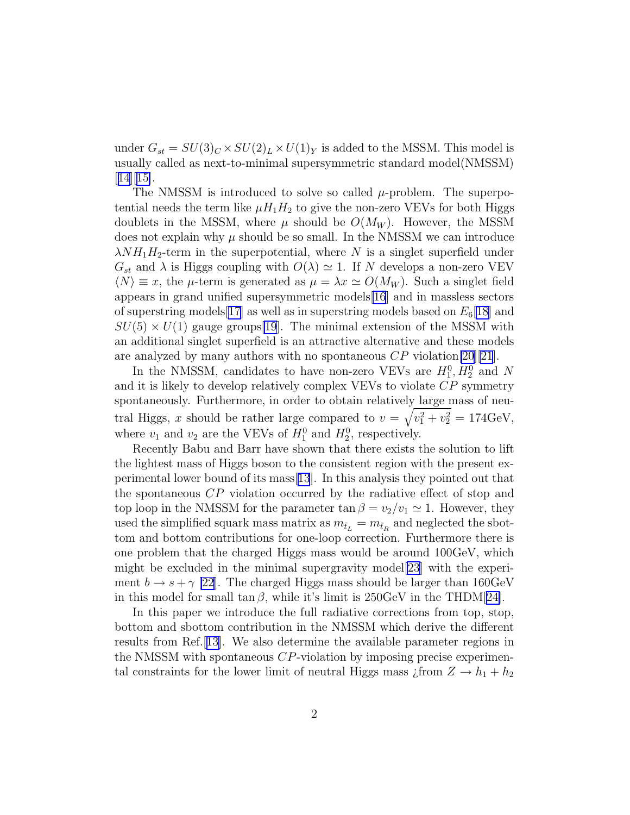under  $G_{st} = SU(3)_C \times SU(2)_L \times U(1)_Y$  is added to the MSSM. This model is usually called as next-to-minimal supersymmetric standard model(NMSSM) [[14](#page-17-0)][[15\]](#page-17-0).

The NMSSM is introduced to solve so called  $\mu$ -problem. The superpotential needs the term like  $\mu H_1 H_2$  to give the non-zero VEVs for both Higgs doublets in the MSSM, where  $\mu$  should be  $O(M_W)$ . However, the MSSM does not explain why  $\mu$  should be so small. In the NMSSM we can introduce  $\lambda NH_1H_2$ -term in the superpotential, where N is a singlet superfield under  $G_{st}$  and  $\lambda$  is Higgs coupling with  $O(\lambda) \simeq 1$ . If N develops a non-zero VEV  $\langle N \rangle \equiv x$ , the  $\mu$ -term is generated as  $\mu = \lambda x \simeq O(M_W)$ . Such a singlet field appears in grand unified supersymmetric models[\[16](#page-17-0)] and in massless sectors of superstring models [\[17\]](#page-17-0) as well as in superstring models based on  $E_6[18]$  $E_6[18]$  and  $SU(5) \times U(1)$  gauge groups[\[19](#page-17-0)]. The minimal extension of the MSSM with an additional singlet superfield is an attractive alternative and these models are analyzed by many authors with no spontaneous  $CP$  violation[\[20\]\[21](#page-17-0)].

In the NMSSM, candidates to have non-zero VEVs are  $H_1^0, H_2^0$  and N and it is likely to develop relatively complex VEVs to violate CP symmetry spontaneously. Furthermore, in order to obtain relatively large mass of neutral Higgs, x should be rather large compared to  $v = \sqrt{v_1^2 + v_2^2} = 174 \text{GeV}$ , where  $v_1$  and  $v_2$  are the VEVs of  $H_1^0$  and  $H_2^0$ , respectively.

Recently Babu and Barr have shown that there exists the solution to lift the lightest mass of Higgs boson to the consistent region with the present experimental lower bound of its mass[[13](#page-16-0)]. In this analysis they pointed out that the spontaneous CP violation occurred by the radiative effect of stop and top loop in the NMSSM for the parameter  $\tan \beta = v_2/v_1 \simeq 1$ . However, they used the simplified squark mass matrix as  $m_{\tilde{t}_L} = m_{\tilde{t}_R}$  and neglected the sbottom and bottom contributions for one-loop correction. Furthermore there is one problem that the charged Higgs mass would be around 100GeV, which might be excluded in the minimal supergravity model[\[23](#page-18-0)] with the experiment  $b \rightarrow s + \gamma$  [\[22](#page-17-0)]. The charged Higgs mass should be larger than 160GeV in this model for small  $\tan \beta$ , while it's limit is 250GeV in the THDM[[24\]](#page-18-0).

In this paper we introduce the full radiative corrections from top, stop, bottom and sbottom contribution in the NMSSM which derive the different results from Ref.[[13\]](#page-16-0). We also determine the available parameter regions in the NMSSM with spontaneous CP-violation by imposing precise experimental constraints for the lower limit of neutral Higgs mass  $\lim_{\Delta} Z \to h_1 + h_2$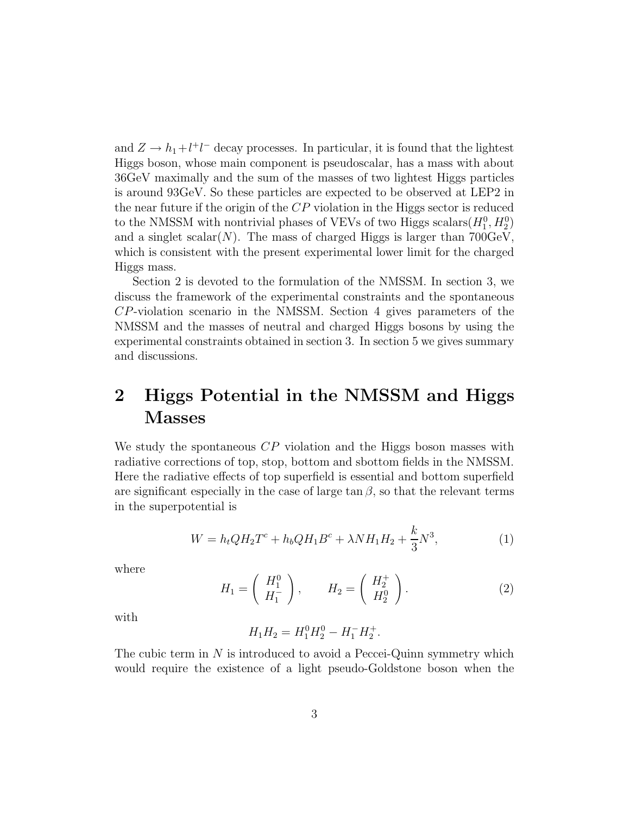<span id="page-3-0"></span>and  $Z \rightarrow h_1 + l^+l^-$  decay processes. In particular, it is found that the lightest Higgs boson, whose main component is pseudoscalar, has a mass with about 36GeV maximally and the sum of the masses of two lightest Higgs particles is around 93GeV. So these particles are expected to be observed at LEP2 in the near future if the origin of the CP violation in the Higgs sector is reduced to the NMSSM with nontrivial phases of VEVs of two Higgs scalars( $H_1^0, H_2^0$ ) and a singlet scalar(N). The mass of charged Higgs is larger than  $700 \text{GeV}$ , which is consistent with the present experimental lower limit for the charged Higgs mass.

Section 2 is devoted to the formulation of the NMSSM. In section 3, we discuss the framework of the experimental constraints and the spontaneous CP-violation scenario in the NMSSM. Section 4 gives parameters of the NMSSM and the masses of neutral and charged Higgs bosons by using the experimental constraints obtained in section 3. In section 5 we gives summary and discussions.

# 2 Higgs Potential in the NMSSM and Higgs Masses

We study the spontaneous  $\mathbb{CP}$  violation and the Higgs boson masses with radiative corrections of top, stop, bottom and sbottom fields in the NMSSM. Here the radiative effects of top superfield is essential and bottom superfield are significant especially in the case of large  $\tan \beta$ , so that the relevant terms in the superpotential is

$$
W = h_t Q H_2 T^c + h_b Q H_1 B^c + \lambda N H_1 H_2 + \frac{k}{3} N^3,
$$
\n(1)

where

$$
H_1 = \left(\begin{array}{c} H_1^0 \\ H_1^- \end{array}\right), \qquad H_2 = \left(\begin{array}{c} H_2^+ \\ H_2^0 \end{array}\right). \tag{2}
$$

.

with

$$
H_1 H_2 = H_1^0 H_2^0 - H_1^- H_2^+
$$

The cubic term in  $N$  is introduced to avoid a Peccei-Quinn symmetry which would require the existence of a light pseudo-Goldstone boson when the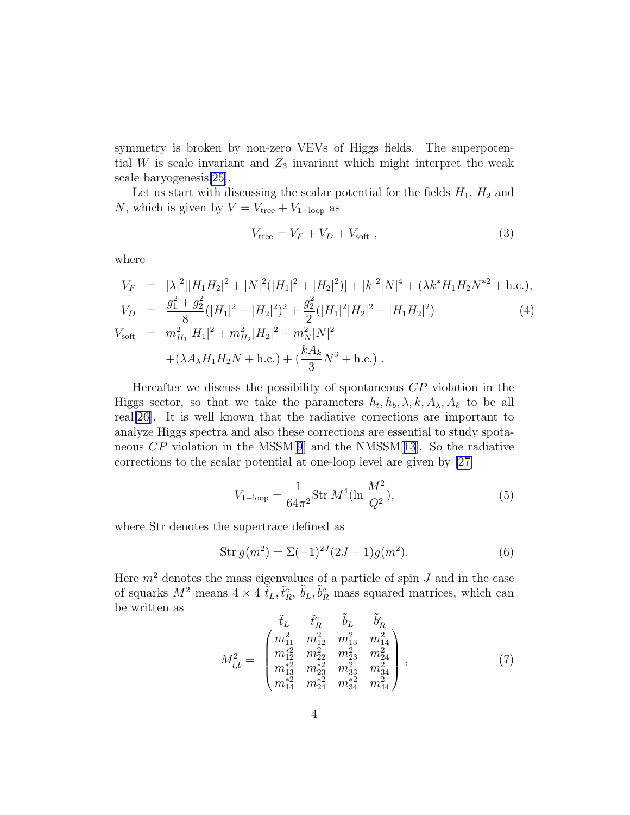<span id="page-4-0"></span>symmetry is broken by non-zero VEVs of Higgs fields. The superpotential W is scale invariant and  $Z_3$  invariant which might interpret the weak scale baryogenesis[\[25](#page-18-0)].

Let us start with discussing the scalar potential for the fields  $H_1$ ,  $H_2$  and N, which is given by  $V = V_{\text{tree}} + V_{1-\text{loop}}$  as

$$
V_{\text{tree}} = V_F + V_D + V_{\text{soft}} \,, \tag{3}
$$

where

$$
V_F = |\lambda|^2 [|H_1 H_2|^2 + |N|^2 (|H_1|^2 + |H_2|^2)] + |k|^2 |N|^4 + (\lambda k^* H_1 H_2 N^{*2} + \text{h.c.}),
$$
  
\n
$$
V_D = \frac{g_1^2 + g_2^2}{8} (|H_1|^2 - |H_2|^2)^2 + \frac{g_2^2}{2} (|H_1|^2 |H_2|^2 - |H_1 H_2|^2)
$$
  
\n
$$
V_{\text{soft}} = m_{H_1}^2 |H_1|^2 + m_{H_2}^2 |H_2|^2 + m_N^2 |N|^2
$$
  
\n
$$
+ (\lambda A_\lambda H_1 H_2 N + \text{h.c.}) + (\frac{k A_k}{3} N^3 + \text{h.c.}).
$$
\n(4)

Hereafter we discuss the possibility of spontaneous  $\mathbb{CP}$  violation in the Higgs sector, so that we take the parameters  $h_t, h_b, \lambda, k, A_\lambda, A_k$  to be all real[\[26](#page-18-0)]. It is well known that the radiative corrections are important to analyze Higgs spectra and also these corrections are essential to study spotaneous  $\mathbb{CP}$  violation in the MSSM[[9](#page-16-0)] and the NMSSM[[13](#page-16-0)]. So the radiative corrections to the scalar potential at one-loop level are given by [\[27](#page-18-0)]

$$
V_{1-\text{loop}} = \frac{1}{64\pi^2} \text{Str } M^4(\ln \frac{M^2}{Q^2}),\tag{5}
$$

where Str denotes the supertrace defined as

$$
Str g(m2) = \Sigma (-1)^{2J} (2J+1)g(m2).
$$
 (6)

Here  $m<sup>2</sup>$  denotes the mass eigenvalues of a particle of spin  $J$  and in the case of squarks  $M^2$  means  $4 \times 4 \tilde{t}_L, \tilde{t}_R^c, \tilde{b}_L, \tilde{b}_R^c$  mass squared matrices, which can be written as  $\sim$ 

$$
M_{\tilde{t},\tilde{b}}^2 = \begin{pmatrix} \tilde{t}_L & \tilde{t}_R^c & \tilde{b}_L & \tilde{b}_R^c \\ m_{11}^2 & m_{12}^2 & m_{13}^2 & m_{14}^2 \\ m_{12}^* & m_{22}^2 & m_{23}^2 & m_{24}^2 \\ m_{13}^* & m_{23}^* & m_{33}^2 & m_{34}^2 \\ m_{14}^* & m_{24}^* & m_{34}^* & m_{44}^2 \end{pmatrix},
$$
(7)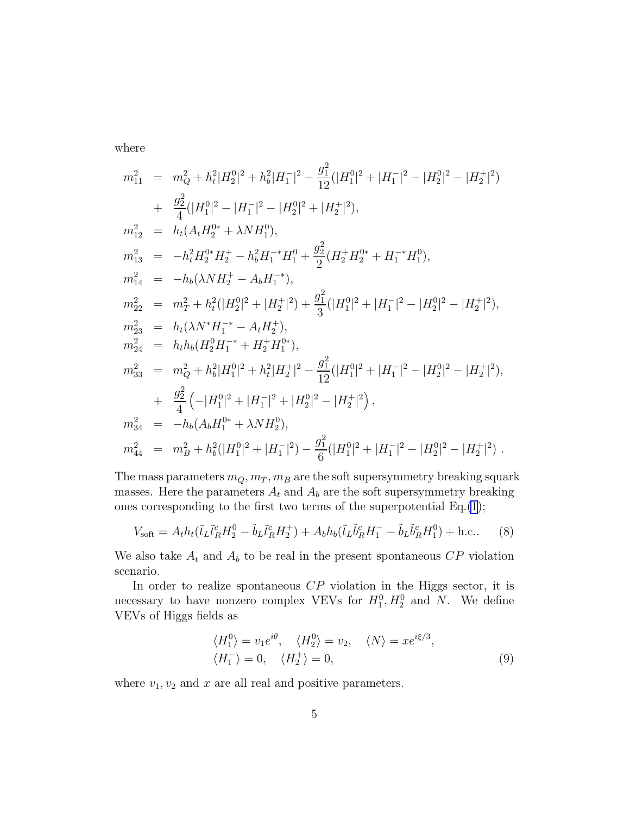where

$$
m_{11}^{2} = m_{Q}^{2} + h_{t}^{2}|H_{2}^{0}|^{2} + h_{b}^{2}|H_{1}^{-}|^{2} - \frac{g_{1}^{2}}{12}(|H_{1}^{0}|^{2} + |H_{1}^{-}|^{2} - |H_{2}^{0}|^{2} - |H_{2}^{+}|^{2})
$$
  
+ 
$$
\frac{g_{2}^{2}}{4}(|H_{1}^{0}|^{2} - |H_{1}^{-}|^{2} - |H_{2}^{0}|^{2} + |H_{2}^{+}|^{2}),
$$
  

$$
m_{12}^{2} = h_{t}(A_{t}H_{2}^{0*} + \lambda N H_{1}^{0}),
$$
  

$$
m_{13}^{2} = -h_{t}^{2}H_{2}^{0*}H_{2}^{+} - h_{b}^{2}H_{1}^{-*}H_{1}^{0} + \frac{g_{2}^{2}}{2}(H_{2}^{+}H_{2}^{0*} + H_{1}^{-*}H_{1}^{0}),
$$
  

$$
m_{14}^{2} = -h_{b}(\lambda N H_{2}^{+} - A_{b}H_{1}^{-*}),
$$
  

$$
m_{22}^{2} = m_{T}^{2} + h_{t}^{2}(|H_{2}^{0}|^{2} + |H_{2}^{+}|^{2}) + \frac{g_{1}^{2}}{3}(|H_{1}^{0}|^{2} + |H_{1}^{-}|^{2} - |H_{2}^{0}|^{2} - |H_{2}^{+}|^{2}),
$$
  

$$
m_{23}^{2} = h_{t}(\lambda N^{*}H_{1}^{-*} - A_{t}H_{2}^{+}),
$$
  

$$
m_{24}^{2} = h_{t}h_{b}(H_{2}^{0}H_{1}^{-*} + H_{2}^{+}H_{1}^{0*}),
$$
  

$$
m_{33}^{2} = m_{Q}^{2} + h_{b}^{2}|H_{1}^{0}|^{2} + h_{t}^{2}|H_{2}^{+}|^{2} - \frac{g_{1}^{2}}{12}(|H_{1}^{0}|^{2} + |H_{1}^{-}|^{2} - |H_{2}^{0}|^{2} - |H_{2}^{+}|^{2}),
$$
  

$$
+ \frac{g_{2}^{2}}{4}(-|H_{1}^{0}|
$$

The mass parameters  $m_Q, m_T, m_B$  are the soft supersymmetry breaking squark masses. Here the parameters  $A_t$  and  $A_b$  are the soft supersymmetry breaking ones corresponding to the first two terms of the superpotential Eq.[\(1](#page-3-0));

$$
V_{\text{soft}} = A_t h_t (\tilde{t}_L \tilde{t}_R^c H_2^0 - \tilde{b}_L \tilde{t}_R^c H_2^+) + A_b h_b (\tilde{t}_L \tilde{b}_R^c H_1^- - \tilde{b}_L \tilde{b}_R^c H_1^0) + \text{h.c.} \tag{8}
$$

We also take  $A_t$  and  $A_b$  to be real in the present spontaneous  $\mathbb{CP}$  violation scenario.

In order to realize spontaneous  $\mathbb{CP}$  violation in the Higgs sector, it is necessary to have nonzero complex VEVs for  $H_1^0, H_2^0$  and N. We define VEVs of Higgs fields as

$$
\langle H_1^0 \rangle = v_1 e^{i\theta}, \quad \langle H_2^0 \rangle = v_2, \quad \langle N \rangle = x e^{i\xi/3}, \langle H_1^- \rangle = 0, \quad \langle H_2^+ \rangle = 0,
$$
\n(9)

where  $v_1, v_2$  and x are all real and positive parameters.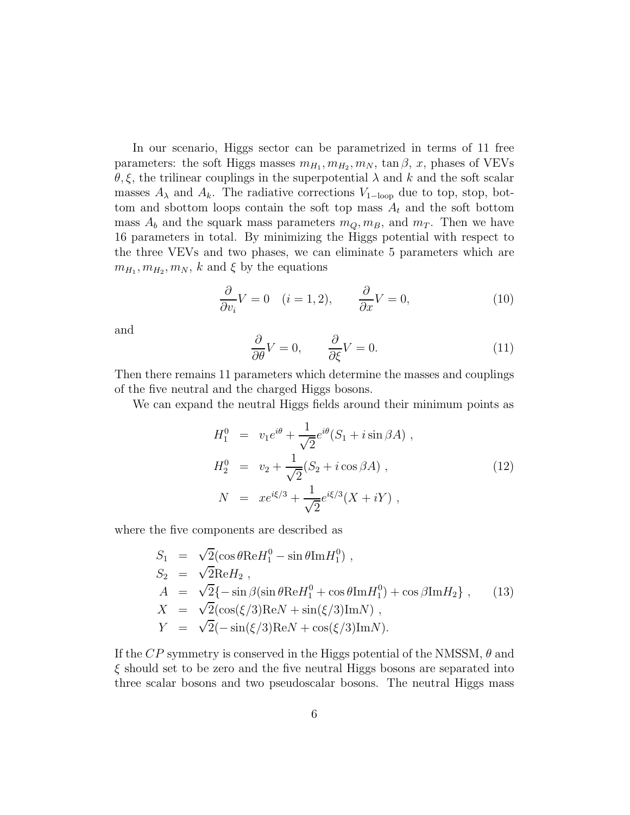<span id="page-6-0"></span>In our scenario, Higgs sector can be parametrized in terms of 11 free parameters: the soft Higgs masses  $m_{H_1}, m_{H_2}, m_N$ ,  $\tan \beta$ , x, phases of VEVs  $\theta, \xi$ , the trilinear couplings in the superpotential  $\lambda$  and  $k$  and the soft scalar masses  $A_{\lambda}$  and  $A_{k}$ . The radiative corrections  $V_{1-loop}$  due to top, stop, bottom and sbottom loops contain the soft top mass  $A_t$  and the soft bottom mass  $A_b$  and the squark mass parameters  $m_Q, m_B$ , and  $m_T$ . Then we have 16 parameters in total. By minimizing the Higgs potential with respect to the three VEVs and two phases, we can eliminate 5 parameters which are  $m_{H_1}, m_{H_2}, m_N, k$  and  $\xi$  by the equations

$$
\frac{\partial}{\partial v_i} V = 0 \quad (i = 1, 2), \qquad \frac{\partial}{\partial x} V = 0,
$$
\n(10)

and

$$
\frac{\partial}{\partial \theta} V = 0, \qquad \frac{\partial}{\partial \xi} V = 0. \tag{11}
$$

Then there remains 11 parameters which determine the masses and couplings of the five neutral and the charged Higgs bosons.

We can expand the neutral Higgs fields around their minimum points as

$$
H_1^0 = v_1 e^{i\theta} + \frac{1}{\sqrt{2}} e^{i\theta} (S_1 + i \sin \beta A) ,
$$
  
\n
$$
H_2^0 = v_2 + \frac{1}{\sqrt{2}} (S_2 + i \cos \beta A) ,
$$
  
\n
$$
N = xe^{i\xi/3} + \frac{1}{\sqrt{2}} e^{i\xi/3} (X + iY) ,
$$
\n(12)

where the five components are described as

$$
S_1 = \sqrt{2}(\cos\theta \text{Re}H_1^0 - \sin\theta \text{Im}H_1^0),
$$
  
\n
$$
S_2 = \sqrt{2}\text{Re}H_2,
$$
  
\n
$$
A = \sqrt{2}\{-\sin\beta(\sin\theta \text{Re}H_1^0 + \cos\theta \text{Im}H_1^0) + \cos\beta \text{Im}H_2\},
$$
  
\n
$$
X = \sqrt{2}(\cos(\xi/3)\text{Re}N + \sin(\xi/3)\text{Im}N),
$$
  
\n
$$
Y = \sqrt{2}(-\sin(\xi/3)\text{Re}N + \cos(\xi/3)\text{Im}N).
$$
\n(13)

If the  $CP$  symmetry is conserved in the Higgs potential of the NMSSM,  $\theta$  and  $\xi$  should set to be zero and the five neutral Higgs bosons are separated into three scalar bosons and two pseudoscalar bosons. The neutral Higgs mass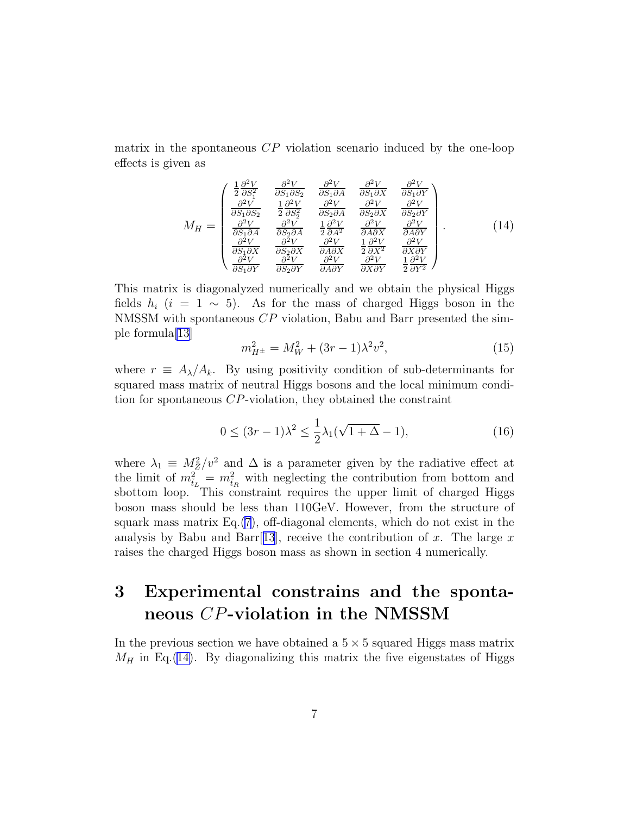matrix in the spontaneous  $\mathbb{CP}$  violation scenario induced by the one-loop effects is given as

$$
M_{H} = \begin{pmatrix} \frac{1}{2} \frac{\partial^{2} V}{\partial S_{1}^{2}} & \frac{\partial^{2} V}{\partial S_{1} \partial S_{2}} & \frac{\partial^{2} V}{\partial S_{1} \partial A} & \frac{\partial^{2} V}{\partial S_{1} \partial X} & \frac{\partial^{2} V}{\partial S_{1} \partial Y} \\ \frac{\partial^{2} V}{\partial S_{1} \partial S_{2}} & \frac{1}{2} \frac{\partial^{2} V}{\partial S_{2}^{2}} & \frac{\partial^{2} V}{\partial S_{2} \partial A} & \frac{\partial^{2} V}{\partial S_{2} \partial X} & \frac{\partial^{2} V}{\partial S_{2} \partial Y} \\ \frac{\partial^{2} V}{\partial S_{1} \partial A} & \frac{\partial^{2} V}{\partial S_{2} \partial A} & \frac{1}{2} \frac{\partial^{2} V}{\partial A} & \frac{\partial^{2} V}{\partial A \partial X} & \frac{\partial^{2} V}{\partial A \partial Y} \\ \frac{\partial^{2} V}{\partial S_{1} \partial X} & \frac{\partial^{2} V}{\partial S_{2} \partial X} & \frac{\partial^{2} V}{\partial A \partial X} & \frac{1}{2} \frac{\partial^{2} V}{\partial X^{2}} & \frac{\partial^{2} V}{\partial X \partial Y} \\ \frac{\partial^{2} V}{\partial S_{1} \partial Y} & \frac{\partial^{2} V}{\partial S_{2} \partial Y} & \frac{\partial^{2} V}{\partial A \partial Y} & \frac{\partial^{2} V}{\partial X \partial Y} & \frac{1}{2} \frac{\partial^{2} V}{\partial Y^{2}} \end{pmatrix} . \tag{14}
$$

This matrix is diagonalyzed numerically and we obtain the physical Higgs fields  $h_i$  (i = 1 ~ 5). As for the mass of charged Higgs boson in the NMSSM with spontaneous CP violation, Babu and Barr presented the simple formula[\[13](#page-16-0)]

$$
m_{H^{\pm}}^2 = M_W^2 + (3r - 1)\lambda^2 v^2,\tag{15}
$$

where  $r \equiv A_{\lambda}/A_k$ . By using positivity condition of sub-determinants for squared mass matrix of neutral Higgs bosons and the local minimum condition for spontaneous CP-violation, they obtained the constraint

$$
0 \le (3r - 1)\lambda^2 \le \frac{1}{2}\lambda_1(\sqrt{1 + \Delta} - 1),\tag{16}
$$

where  $\lambda_1 \equiv M_Z^2/v^2$  and  $\Delta$  is a parameter given by the radiative effect at the limit of  $m_{\tilde{t}_L}^2 = m_{\tilde{t}_R}^2$  with neglecting the contribution from bottom and sbottom loop. This constraint requires the upper limit of charged Higgs boson mass should be less than 110GeV. However, from the structure of squark mass matrix  $Eq. (7)$  $Eq. (7)$  $Eq. (7)$ , off-diagonal elements, which do not exist in the analysis by Babu and Barr [[13](#page-16-0)], receive the contribution of x. The large x raises the charged Higgs boson mass as shown in section 4 numerically.

# 3 Experimental constrains and the spontaneous CP-violation in the NMSSM

In the previous section we have obtained a  $5 \times 5$  squared Higgs mass matrix  $M_H$  in Eq.(14). By diagonalizing this matrix the five eigenstates of Higgs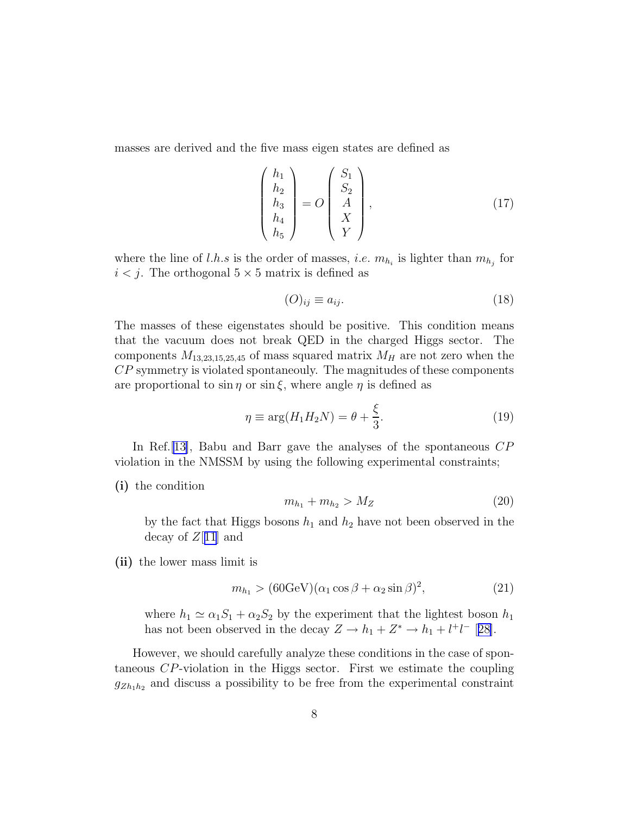<span id="page-8-0"></span>masses are derived and the five mass eigen states are defined as

$$
\begin{pmatrix} h_1 \\ h_2 \\ h_3 \\ h_4 \\ h_5 \end{pmatrix} = O \begin{pmatrix} S_1 \\ S_2 \\ A \\ X \\ Y \end{pmatrix}, \tag{17}
$$

where the line of l.h.s is the order of masses, *i.e.*  $m_{h_i}$  is lighter than  $m_{h_j}$  for  $i < j$ . The orthogonal  $5 \times 5$  matrix is defined as

$$
(O)_{ij} \equiv a_{ij}.\tag{18}
$$

The masses of these eigenstates should be positive. This condition means that the vacuum does not break QED in the charged Higgs sector. The components  $M_{13,23,15,25,45}$  of mass squared matrix  $M_H$  are not zero when the CP symmetry is violated spontaneouly. The magnitudes of these components are proportional to  $\sin \eta$  or  $\sin \xi$ , where angle  $\eta$  is defined as

$$
\eta \equiv \arg(H_1 H_2 N) = \theta + \frac{\xi}{3}.
$$
\n(19)

In Ref. [\[13\]](#page-16-0), Babu and Barr gave the analyses of the spontaneous  $CP$ violation in the NMSSM by using the following experimental constraints;

#### (i) the condition

$$
m_{h_1} + m_{h_2} > M_Z \tag{20}
$$

by the fact that Higgs bosons  $h_1$  and  $h_2$  have not been observed in the decay of  $Z[11]$  $Z[11]$  $Z[11]$  and

(ii) the lower mass limit is

$$
m_{h_1} > (60 \text{GeV}) (\alpha_1 \cos \beta + \alpha_2 \sin \beta)^2, \tag{21}
$$

where  $h_1 \simeq \alpha_1 S_1 + \alpha_2 S_2$  by the experiment that the lightest boson  $h_1$ has not been observed in the decay  $Z \to h_1 + Z^* \to h_1 + l^+l^-$  [[28\]](#page-18-0).

However, we should carefully analyze these conditions in the case of spontaneous CP-violation in the Higgs sector. First we estimate the coupling  $g_{Zh_1h_2}$  and discuss a possibility to be free from the experimental constraint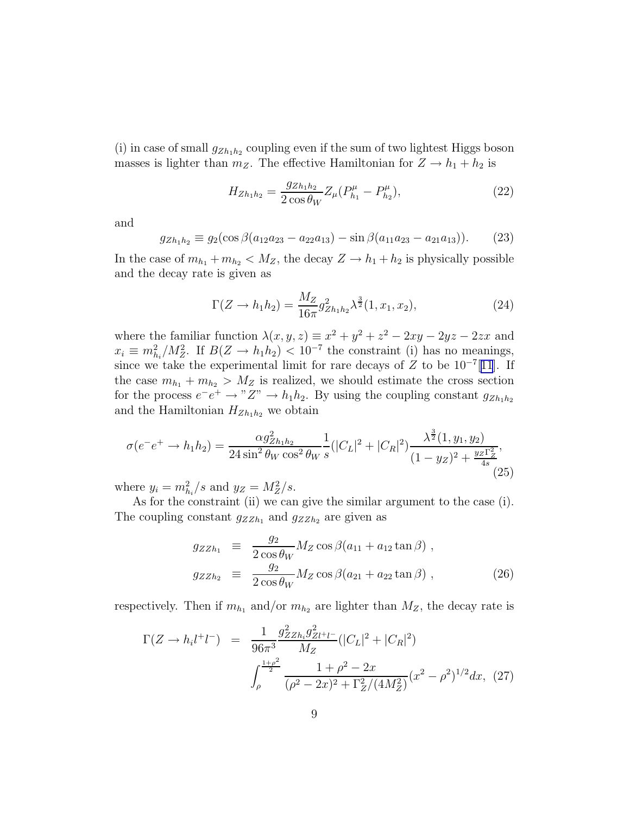<span id="page-9-0"></span>(i) in case of small  $g_{Zh_1h_2}$  coupling even if the sum of two lightest Higgs boson masses is lighter than  $m_Z$ . The effective Hamiltonian for  $Z \to h_1 + h_2$  is

$$
H_{Zh_1h_2} = \frac{g_{Zh_1h_2}}{2\cos\theta_W} Z_\mu (P_{h_1}^\mu - P_{h_2}^\mu),\tag{22}
$$

and

$$
g_{Zh_1h_2} \equiv g_2(\cos\beta(a_{12}a_{23} - a_{22}a_{13}) - \sin\beta(a_{11}a_{23} - a_{21}a_{13})).
$$
 (23)

In the case of  $m_{h_1} + m_{h_2} < M_Z$ , the decay  $Z \to h_1 + h_2$  is physically possible and the decay rate is given as

$$
\Gamma(Z \to h_1 h_2) = \frac{M_Z}{16\pi} g_{Zh_1 h_2}^2 \lambda^{\frac{3}{2}}(1, x_1, x_2), \tag{24}
$$

where the familiar function  $\lambda(x, y, z) \equiv x^2 + y^2 + z^2 - 2xy - 2yz - 2zx$  and  $x_i \equiv m_{h_i}^2/M_Z^2$ . If  $B(Z \to h_1 h_2) < 10^{-7}$  the constraint (i) has no meanings, since we take the experimental limit for rare decays of  $Z$  to be 10<sup>-7</sup>[[11](#page-16-0)]. If the case  $m_{h_1} + m_{h_2} > M_Z$  is realized, we should estimate the cross section for the process  $e^-e^+ \to "Z" \to h_1h_2$ . By using the coupling constant  $g_{Zh_1h_2}$ and the Hamiltonian  $H_{Zh_1h_2}$  we obtain

$$
\sigma(e^{-}e^{+} \to h_{1}h_{2}) = \frac{\alpha g_{Zh_{1}h_{2}}^{2}}{24\sin^{2}\theta_{W}\cos^{2}\theta_{W}} \frac{1}{s} (|C_{L}|^{2} + |C_{R}|^{2}) \frac{\lambda^{\frac{3}{2}}(1, y_{1}, y_{2})}{(1 - y_{Z})^{2} + \frac{y_{Z}\Gamma_{Z}^{2}}{4s}}.
$$
\n(25)

where  $y_i = m_{h_i}^2/s$  and  $y_Z = M_Z^2/s$ .

As for the constraint (ii) we can give the similar argument to the case (i). The coupling constant  $g_{ZZh_1}$  and  $g_{ZZh_2}$  are given as

$$
g_{ZZh_1} \equiv \frac{g_2}{2 \cos \theta_W} M_Z \cos \beta (a_{11} + a_{12} \tan \beta) ,
$$
  
\n
$$
g_{ZZh_2} \equiv \frac{g_2}{2 \cos \theta_W} M_Z \cos \beta (a_{21} + a_{22} \tan \beta) ,
$$
\n(26)

respectively. Then if  $m_{h_1}$  and/or  $m_{h_2}$  are lighter than  $M_Z$ , the decay rate is

$$
\Gamma(Z \to h_i l^+ l^-) = \frac{1}{96\pi^3} \frac{g_{ZZh_i}^2 g_{Zl^+ l^-}^2}{M_Z} (|C_L|^2 + |C_R|^2)
$$

$$
\int_{\rho}^{\frac{1+\rho^2}{2}} \frac{1+\rho^2 - 2x}{(\rho^2 - 2x)^2 + \Gamma_Z^2 / (4M_Z^2)} (x^2 - \rho^2)^{1/2} dx, (27)
$$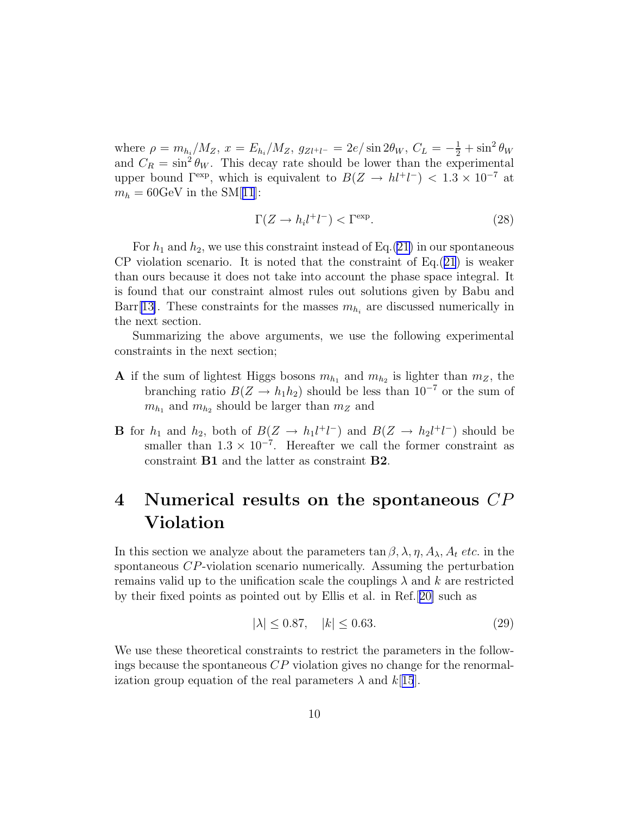<span id="page-10-0"></span>where  $\rho = m_{h_i}/M_Z$ ,  $x = E_{h_i}/M_Z$ ,  $g_{Zl^+l^-} = 2e/\sin 2\theta_W$ ,  $C_L = -\frac{1}{2} + \sin^2 \theta_W$ and  $C_R = \sin^2 \theta_W$ . This decay rate should be lower than the experimental upper bound  $\Gamma^{\text{exp}}$ , which is equivalent to  $B(Z \to hl^+l^-) < 1.3 \times 10^{-7}$  at  $m_h = 60 \text{GeV}$  in the SM[[11](#page-16-0)]:

$$
\Gamma(Z \to h_i l^+ l^-) < \Gamma^{\exp}.\tag{28}
$$

For  $h_1$  and  $h_2$ , we use this constraint instead of Eq.[\(21\)](#page-8-0) in our spontaneous CP violation scenario. It is noted that the constraint of  $Eq.(21)$  $Eq.(21)$  $Eq.(21)$  is weaker than ours because it does not take into account the phase space integral. It is found that our constraint almost rules out solutions given by Babu and Barr<sup>[[13\]](#page-16-0)</sup>. These constraints for the masses  $m_{h_i}$  are discussed numerically in the next section.

Summarizing the above arguments, we use the following experimental constraints in the next section;

- **A** if the sum of lightest Higgs bosons  $m_{h_1}$  and  $m_{h_2}$  is lighter than  $m_Z$ , the branching ratio  $B(Z \to h_1 h_2)$  should be less than  $10^{-7}$  or the sum of  $m_{h_1}$  and  $m_{h_2}$  should be larger than  $m_Z$  and
- **B** for  $h_1$  and  $h_2$ , both of  $B(Z \to h_1 l^+ l^-)$  and  $B(Z \to h_2 l^+ l^-)$  should be smaller than  $1.3 \times 10^{-7}$ . Hereafter we call the former constraint as constraint B1 and the latter as constraint B2.

# 4 Numerical results on the spontaneous CP Violation

In this section we analyze about the parameters  $\tan \beta$ ,  $\lambda$ ,  $\eta$ ,  $A_{\lambda}$ ,  $A_t$  *etc.* in the spontaneous CP-violation scenario numerically. Assuming the perturbation remains valid up to the unification scale the couplings  $\lambda$  and k are restricted by their fixed points as pointed out by Ellis et al. in Ref.[[20\]](#page-17-0) such as

$$
|\lambda| \le 0.87, \quad |k| \le 0.63. \tag{29}
$$

We use these theoretical constraints to restrict the parameters in the followings because the spontaneous  $\mathbb{CP}$  violation gives no change for the renormalization group equation of the real parameters  $\lambda$  and  $k[15]$  $k[15]$  $k[15]$ .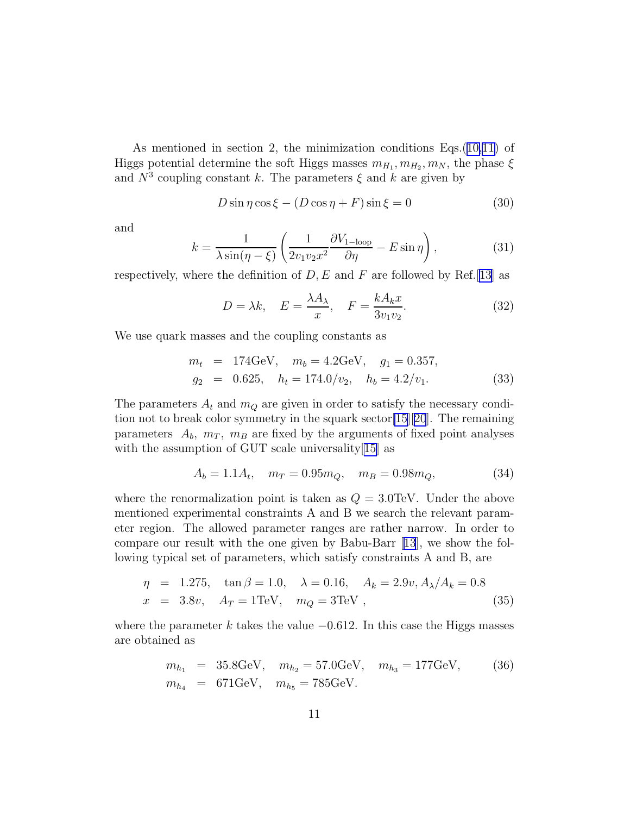<span id="page-11-0"></span>As mentioned in section 2, the minimization conditions Eqs.([10,11\)](#page-6-0) of Higgs potential determine the soft Higgs masses  $m_{H_1}, m_{H_2}, m_N$ , the phase  $\xi$ and  $N^3$  coupling constant k. The parameters  $\xi$  and k are given by

$$
D\sin\eta\cos\xi - (D\cos\eta + F)\sin\xi = 0
$$
\n(30)

and

$$
k = \frac{1}{\lambda \sin(\eta - \xi)} \left( \frac{1}{2v_1 v_2 x^2} \frac{\partial V_{1-\text{loop}}}{\partial \eta} - E \sin \eta \right),\tag{31}
$$

respectively, where the definition of  $D, E$  and F are followed by Ref.[\[13\]](#page-16-0) as

$$
D = \lambda k, \quad E = \frac{\lambda A_{\lambda}}{x}, \quad F = \frac{k A_{k} x}{3 v_{1} v_{2}}.
$$
 (32)

We use quark masses and the coupling constants as

$$
m_t = 174 \text{GeV}, \quad m_b = 4.2 \text{GeV}, \quad g_1 = 0.357,
$$
  
\n
$$
g_2 = 0.625, \quad h_t = 174.0/v_2, \quad h_b = 4.2/v_1.
$$
\n(33)

The parameters  $A_t$  and  $m_Q$  are given in order to satisfy the necessary condition not to break color symmetry in the squark sector[\[15](#page-17-0)][[20](#page-17-0)]. The remaining parameters  $A_b$ ,  $m_T$ ,  $m_B$  are fixed by the arguments of fixed point analyses with the assumption of GUT scale universality [[15](#page-17-0)] as

$$
A_b = 1.1A_t, \quad m_T = 0.95m_Q, \quad m_B = 0.98m_Q,\tag{34}
$$

where the renormalization point is taken as  $Q = 3.0 \text{TeV}$ . Under the above mentioned experimental constraints A and B we search the relevant parameter region. The allowed parameter ranges are rather narrow. In order to compare our result with the one given by Babu-Barr[[13](#page-16-0)], we show the following typical set of parameters, which satisfy constraints A and B, are

$$
\eta = 1.275, \quad \tan \beta = 1.0, \quad \lambda = 0.16, \quad A_k = 2.9v, A_{\lambda}/A_k = 0.8
$$
  

$$
x = 3.8v, \quad A_T = 1 \text{TeV}, \quad m_Q = 3 \text{TeV}, \quad (35)
$$

where the parameter k takes the value  $-0.612$ . In this case the Higgs masses are obtained as

$$
m_{h_1} = 35.8 \text{GeV}, \quad m_{h_2} = 57.0 \text{GeV}, \quad m_{h_3} = 177 \text{GeV}, \quad (36)
$$
  

$$
m_{h_4} = 671 \text{GeV}, \quad m_{h_5} = 785 \text{GeV}.
$$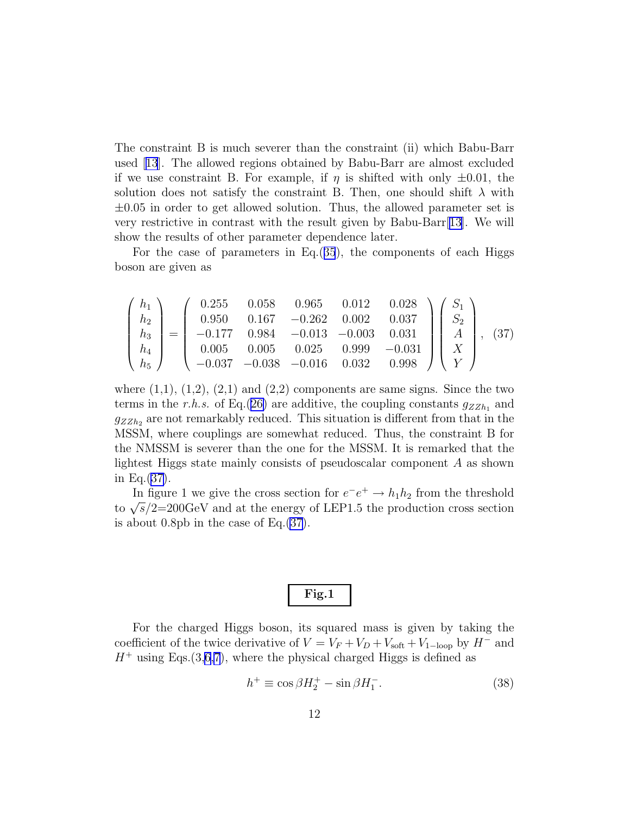The constraint B is much severer than the constraint (ii) which Babu-Barr used[[13](#page-16-0)]. The allowed regions obtained by Babu-Barr are almost excluded if we use constraint B. For example, if  $\eta$  is shifted with only  $\pm 0.01$ , the solution does not satisfy the constraint B. Then, one should shift  $\lambda$  with  $\pm 0.05$  in order to get allowed solution. Thus, the allowed parameter set is very restrictive in contrast with the result given by Babu-Barr[\[13\]](#page-16-0). We will show the results of other parameter dependence later.

For the case of parameters in Eq.([35](#page-11-0)), the components of each Higgs boson are given as

$$
\begin{pmatrix} h_1 \\ h_2 \\ h_3 \\ h_4 \\ h_5 \end{pmatrix} = \begin{pmatrix} 0.255 & 0.058 & 0.965 & 0.012 & 0.028 \\ 0.950 & 0.167 & -0.262 & 0.002 & 0.037 \\ -0.177 & 0.984 & -0.013 & -0.003 & 0.031 \\ 0.005 & 0.005 & 0.025 & 0.999 & -0.031 \\ -0.037 & -0.038 & -0.016 & 0.032 & 0.998 \end{pmatrix} \begin{pmatrix} S_1 \\ S_2 \\ A \\ X \\ Y \end{pmatrix}, (37)
$$

where  $(1,1)$ ,  $(1,2)$ ,  $(2,1)$  and  $(2,2)$  components are same signs. Since the two terms in the r.h.s. of Eq.([26\)](#page-9-0) are additive, the coupling constants  $g_{ZZh_1}$  and  $g_{ZZh_2}$  are not remarkably reduced. This situation is different from that in the MSSM, where couplings are somewhat reduced. Thus, the constraint B for the NMSSM is severer than the one for the MSSM. It is remarked that the lightest Higgs state mainly consists of pseudoscalar component A as shown in Eq.(37).

In figure 1 we give the cross section for  $e^-e^+ \to h_1h_2$  from the threshold to  $\sqrt{s}/2=200 \text{GeV}$  and at the energy of LEP1.5 the production cross section is about 0.8pb in the case of Eq.(37).

For the charged Higgs boson, its squared mass is given by taking the coefficient of the twice derivative of  $V = V_F + V_D + V_{\text{soft}} + V_{1-\text{loop}}$  by  $H^-$  and  $H^+$  using Eqs.(3[,6,7](#page-4-0)), where the physical charged Higgs is defined as

$$
h^{+} \equiv \cos\beta H_2^{+} - \sin\beta H_1^{-}.
$$
 (38)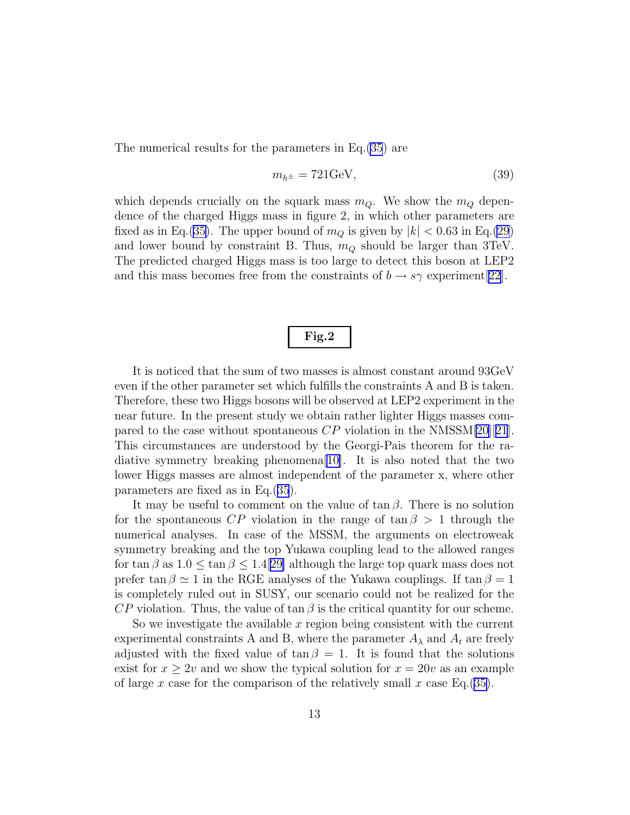The numerical results for the parameters in Eq.[\(35](#page-11-0)) are

$$
m_{h^{\pm}} = 721 \text{GeV},\tag{39}
$$

which depends crucially on the squark mass  $m_Q$ . We show the  $m_Q$  dependence of the charged Higgs mass in figure 2, in which other parameters are fixed as in Eq.[\(35\)](#page-11-0). The upper bound of  $m_Q$  is given by  $|k| < 0.63$  in Eq.[\(29](#page-10-0)) and lower bound by constraint B. Thus,  $m_Q$  should be larger than 3TeV. The predicted charged Higgs mass is too large to detect this boson at LEP2 and this mass becomes free from the constraints of  $b \to s\gamma$  experiment [\[22](#page-17-0)].

### Fig.2

It is noticed that the sum of two masses is almost constant around 93GeV even if the other parameter set which fulfills the constraints A and B is taken. Therefore, these two Higgs bosons will be observed at LEP2 experiment in the near future. In the present study we obtain rather lighter Higgs masses compared to the case without spontaneous  $\mathbb{CP}$  violation in the NMSSM[\[20](#page-17-0)][[21](#page-17-0)]. This circumstances are understood by the Georgi-Pais theorem for the radiative symmetry breaking phenomena[[10\]](#page-16-0). It is also noted that the two lower Higgs masses are almost independent of the parameter x, where other parameters are fixed as in Eq.([35](#page-11-0)).

It may be useful to comment on the value of  $\tan \beta$ . There is no solution for the spontaneous  $\mathbb{CP}$  violation in the range of tan  $\beta > 1$  through the numerical analyses. In case of the MSSM, the arguments on electroweak symmetry breaking and the top Yukawa coupling lead to the allowed ranges for tan  $\beta$  as  $1.0 \leq \tan \beta \leq 1.4$ [[29\]](#page-18-0) although the large top quark mass does not prefer tan  $\beta \simeq 1$  in the RGE analyses of the Yukawa couplings. If tan  $\beta = 1$ is completely ruled out in SUSY, our scenario could not be realized for the  $\mathbb{CP}$  violation. Thus, the value of tan  $\beta$  is the critical quantity for our scheme.

So we investigate the available  $x$  region being consistent with the current experimental constraints A and B, where the parameter  $A_{\lambda}$  and  $A_t$  are freely adjusted with the fixed value of  $\tan \beta = 1$ . It is found that the solutions exist for  $x \geq 2v$  and we show the typical solution for  $x = 20v$  as an example of large x case for the comparison of the relatively small x case Eq.([35\)](#page-11-0).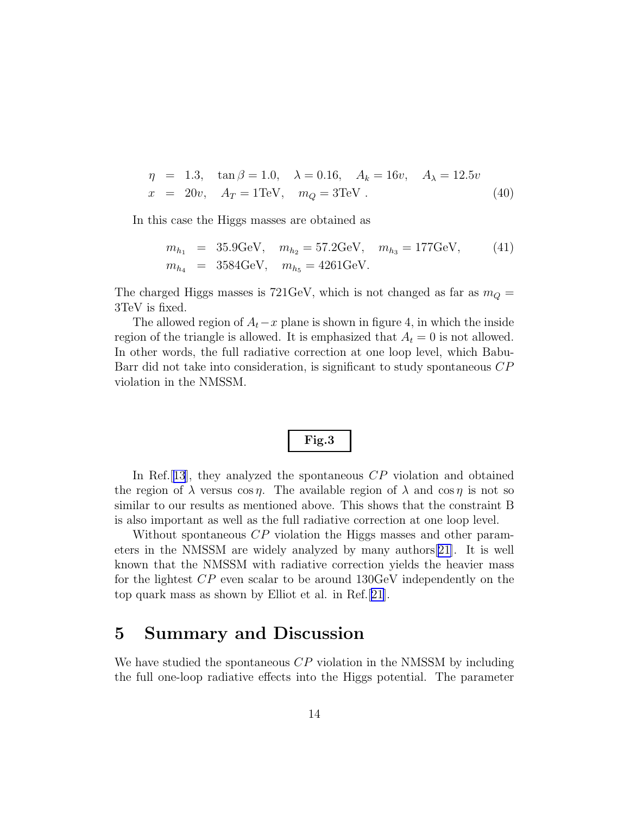$$
\eta = 1.3, \quad \tan \beta = 1.0, \quad \lambda = 0.16, \quad A_k = 16v, \quad A_\lambda = 12.5v
$$
  

$$
x = 20v, \quad A_T = 1 \text{TeV}, \quad m_Q = 3 \text{TeV} \,. \tag{40}
$$

In this case the Higgs masses are obtained as

$$
m_{h_1} = 35.9 \text{GeV}, \quad m_{h_2} = 57.2 \text{GeV}, \quad m_{h_3} = 177 \text{GeV}, \quad (41)
$$
  

$$
m_{h_4} = 3584 \text{GeV}, \quad m_{h_5} = 4261 \text{GeV}.
$$

The charged Higgs masses is 721GeV, which is not changed as far as  $m_Q =$ 3TeV is fixed.

The allowed region of  $A_t - x$  plane is shown in figure 4, in which the inside region of the triangle is allowed. It is emphasized that  $A_t = 0$  is not allowed. In other words, the full radiative correction at one loop level, which Babu-Barr did not take into consideration, is significant to study spontaneous CP violation in the NMSSM.

$$
Fig.3
$$

In Ref. [[13](#page-16-0)], they analyzed the spontaneous CP violation and obtained the region of  $\lambda$  versus cos  $\eta$ . The available region of  $\lambda$  and cos  $\eta$  is not so similar to our results as mentioned above. This shows that the constraint B is also important as well as the full radiative correction at one loop level.

Without spontaneous CP violation the Higgs masses and other parameters in the NMSSM are widely analyzed by many authors[\[21\]](#page-17-0). It is well known that the NMSSM with radiative correction yields the heavier mass for the lightest CP even scalar to be around 130GeV independently on the top quark mass as shown by Elliot et al. in Ref.[\[21\]](#page-17-0).

## 5 Summary and Discussion

We have studied the spontaneous  $\mathbb{CP}$  violation in the NMSSM by including the full one-loop radiative effects into the Higgs potential. The parameter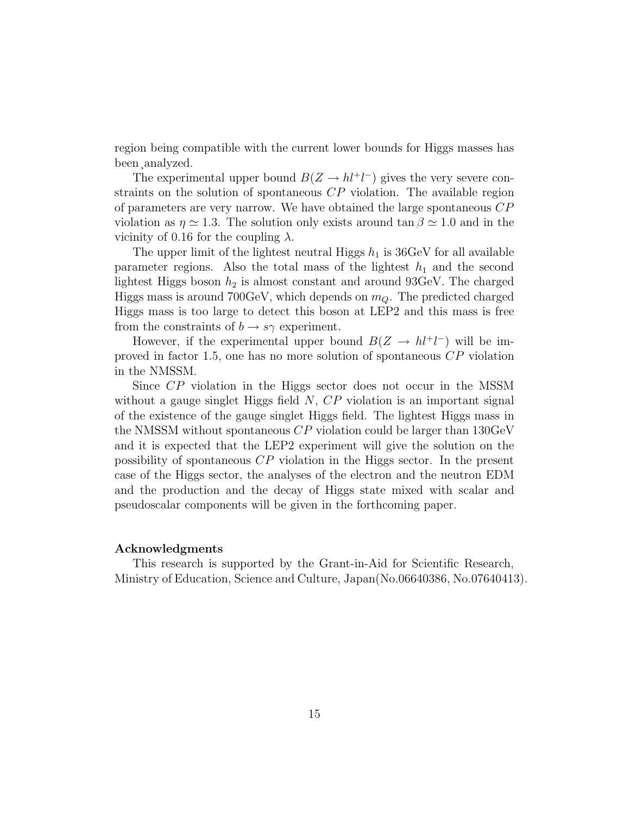region being compatible with the current lower bounds for Higgs masses has been¸analyzed.

The experimental upper bound  $B(Z \to h l^+ l^-)$  gives the very severe constraints on the solution of spontaneous  $\mathbb{CP}$  violation. The available region of parameters are very narrow. We have obtained the large spontaneous  $\mathbb{CP}$ violation as  $\eta \simeq 1.3$ . The solution only exists around  $\tan \beta \simeq 1.0$  and in the vicinity of 0.16 for the coupling  $\lambda$ .

The upper limit of the lightest neutral Higgs  $h_1$  is 36GeV for all available parameter regions. Also the total mass of the lightest  $h_1$  and the second lightest Higgs boson  $h_2$  is almost constant and around 93GeV. The charged Higgs mass is around 700GeV, which depends on  $m<sub>Q</sub>$ . The predicted charged Higgs mass is too large to detect this boson at LEP2 and this mass is free from the constraints of  $b \to s\gamma$  experiment.

However, if the experimental upper bound  $B(Z \to hl^+l^-)$  will be improved in factor 1.5, one has no more solution of spontaneous CP violation in the NMSSM.

Since CP violation in the Higgs sector does not occur in the MSSM without a gauge singlet Higgs field  $N$ ,  $CP$  violation is an important signal of the existence of the gauge singlet Higgs field. The lightest Higgs mass in the NMSSM without spontaneous  $CP$  violation could be larger than 130GeV and it is expected that the LEP2 experiment will give the solution on the possibility of spontaneous CP violation in the Higgs sector. In the present case of the Higgs sector, the analyses of the electron and the neutron EDM and the production and the decay of Higgs state mixed with scalar and pseudoscalar components will be given in the forthcoming paper.

#### Acknowledgments

This research is supported by the Grant-in-Aid for Scientific Research, Ministry of Education, Science and Culture, Japan(No.06640386, No.07640413).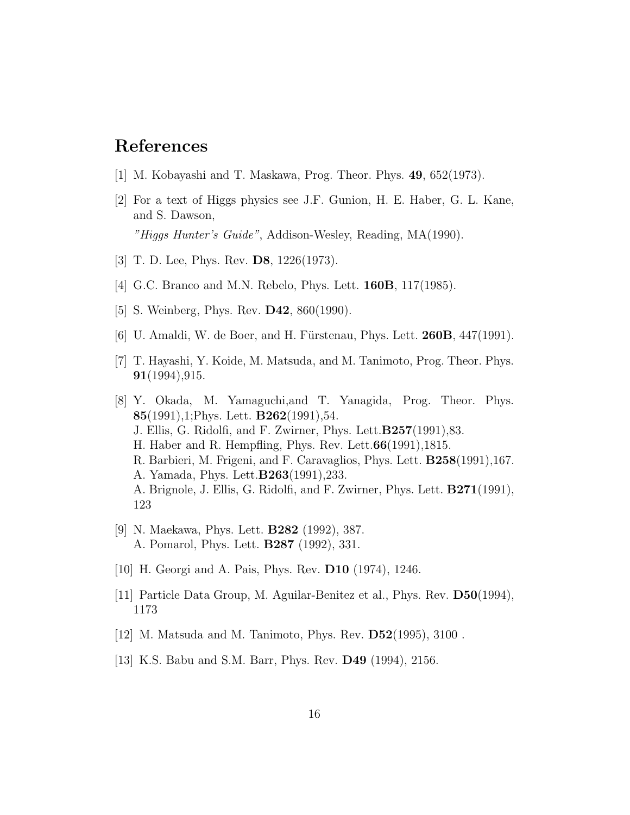## <span id="page-16-0"></span>References

- [1] M. Kobayashi and T. Maskawa, Prog. Theor. Phys. 49, 652(1973).
- [2] For a text of Higgs physics see J.F. Gunion, H. E. Haber, G. L. Kane, and S. Dawson, "Higgs Hunter's Guide", Addison-Wesley, Reading, MA(1990).
- [3] T. D. Lee, Phys. Rev. D8, 1226(1973).
- [4] G.C. Branco and M.N. Rebelo, Phys. Lett. 160B, 117(1985).
- [5] S. Weinberg, Phys. Rev. D42, 860(1990).
- [6] U. Amaldi, W. de Boer, and H. Fürstenau, Phys. Lett.  $260B$ ,  $447(1991)$ .
- [7] T. Hayashi, Y. Koide, M. Matsuda, and M. Tanimoto, Prog. Theor. Phys. 91(1994),915.
- [8] Y. Okada, M. Yamaguchi,and T. Yanagida, Prog. Theor. Phys. 85(1991),1; Phys. Lett.  $B262(1991)$ , 54. J. Ellis, G. Ridolfi, and F. Zwirner, Phys. Lett.B257(1991),83. H. Haber and R. Hempfling, Phys. Rev. Lett.66(1991),1815. R. Barbieri, M. Frigeni, and F. Caravaglios, Phys. Lett. B258(1991),167. A. Yamada, Phys. Lett.B263(1991),233. A. Brignole, J. Ellis, G. Ridolfi, and F. Zwirner, Phys. Lett. B271(1991), 123
- [9] N. Maekawa, Phys. Lett. B282 (1992), 387. A. Pomarol, Phys. Lett. B287 (1992), 331.
- [10] H. Georgi and A. Pais, Phys. Rev. D10 (1974), 1246.
- [11] Particle Data Group, M. Aguilar-Benitez et al., Phys. Rev. D50(1994), 1173
- [12] M. Matsuda and M. Tanimoto, Phys. Rev. D52(1995), 3100 .
- [13] K.S. Babu and S.M. Barr, Phys. Rev. D49 (1994), 2156.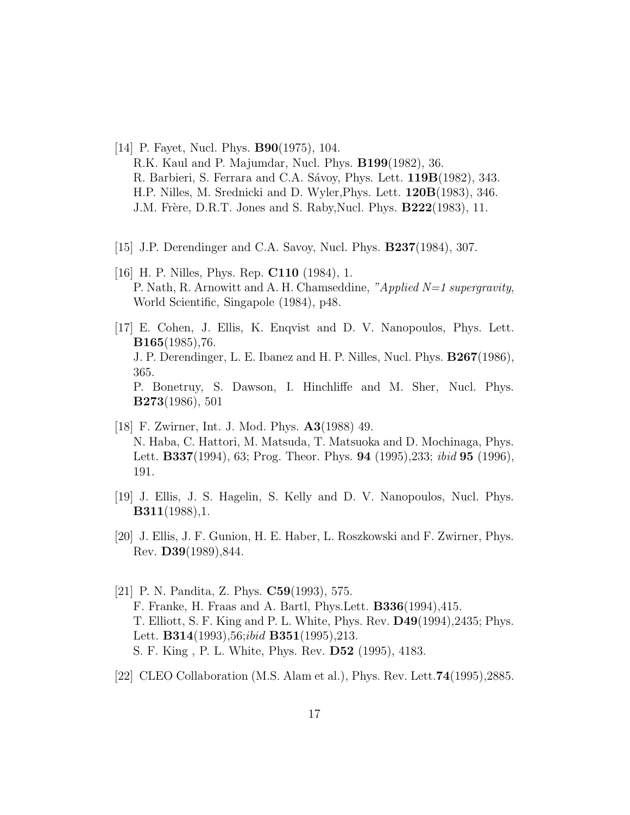- <span id="page-17-0"></span>[14] P. Fayet, Nucl. Phys. B90(1975), 104. R.K. Kaul and P. Majumdar, Nucl. Phys. B199(1982), 36. R. Barbieri, S. Ferrara and C.A. Sávoy, Phys. Lett. 119B(1982), 343. H.P. Nilles, M. Srednicki and D. Wyler,Phys. Lett. 120B(1983), 346. J.M. Frère, D.R.T. Jones and S. Raby,Nucl. Phys. B222(1983), 11.
- [15] J.P. Derendinger and C.A. Savoy, Nucl. Phys. **B237**(1984), 307.
- [16] H. P. Nilles, Phys. Rep. **C110** (1984), 1. P. Nath, R. Arnowitt and A. H. Chamseddine, "Applied N=1 supergravity, World Scientific, Singapole (1984), p48.
- [17] E. Cohen, J. Ellis, K. Enqvist and D. V. Nanopoulos, Phys. Lett. B165(1985),76. J. P. Derendinger, L. E. Ibanez and H. P. Nilles, Nucl. Phys. B267(1986), 365. P. Bonetruy, S. Dawson, I. Hinchliffe and M. Sher, Nucl. Phys. B273(1986), 501
- [18] F. Zwirner, Int. J. Mod. Phys. A3(1988) 49. N. Haba, C. Hattori, M. Matsuda, T. Matsuoka and D. Mochinaga, Phys. Lett. B337(1994), 63; Prog. Theor. Phys. 94 (1995),233; ibid 95 (1996), 191.
- [19] J. Ellis, J. S. Hagelin, S. Kelly and D. V. Nanopoulos, Nucl. Phys. B311(1988),1.
- [20] J. Ellis, J. F. Gunion, H. E. Haber, L. Roszkowski and F. Zwirner, Phys. Rev. D39(1989),844.
- [21] P. N. Pandita, Z. Phys. C59(1993), 575. F. Franke, H. Fraas and A. Bartl, Phys.Lett. B336(1994),415. T. Elliott, S. F. King and P. L. White, Phys. Rev. D49(1994),2435; Phys. Lett. **B314**(1993), 56;*ibid* **B351**(1995), 213. S. F. King , P. L. White, Phys. Rev. D52 (1995), 4183.
- [22] CLEO Collaboration (M.S. Alam et al.), Phys. Rev. Lett.74(1995),2885.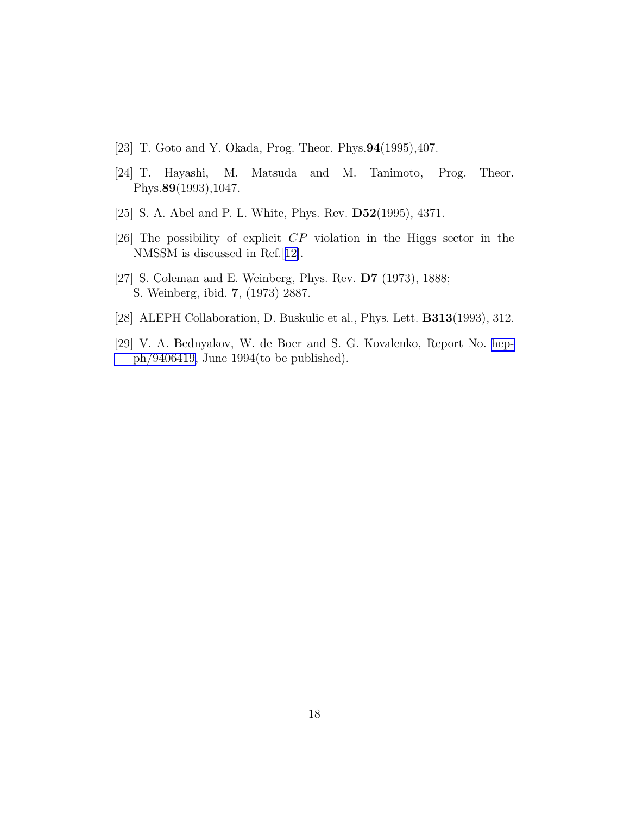- <span id="page-18-0"></span>[23] T. Goto and Y. Okada, Prog. Theor. Phys.94(1995),407.
- [24] T. Hayashi, M. Matsuda and M. Tanimoto, Prog. Theor. Phys.89(1993),1047.
- [25] S. A. Abel and P. L. White, Phys. Rev. D52(1995), 4371.
- [26] The possibility of explicit CP violation in the Higgs sector in the NMSSM is discussed in Ref.[[12\]](#page-16-0).
- [27] S. Coleman and E. Weinberg, Phys. Rev. D7 (1973), 1888; S. Weinberg, ibid. 7, (1973) 2887.
- [28] ALEPH Collaboration, D. Buskulic et al., Phys. Lett. B313(1993), 312.
- [29] V. A. Bednyakov, W. de Boer and S. G. Kovalenko, Report No. [hep](http://arXiv.org/abs/hep-ph/9406419)[ph/9406419,](http://arXiv.org/abs/hep-ph/9406419) June 1994(to be published).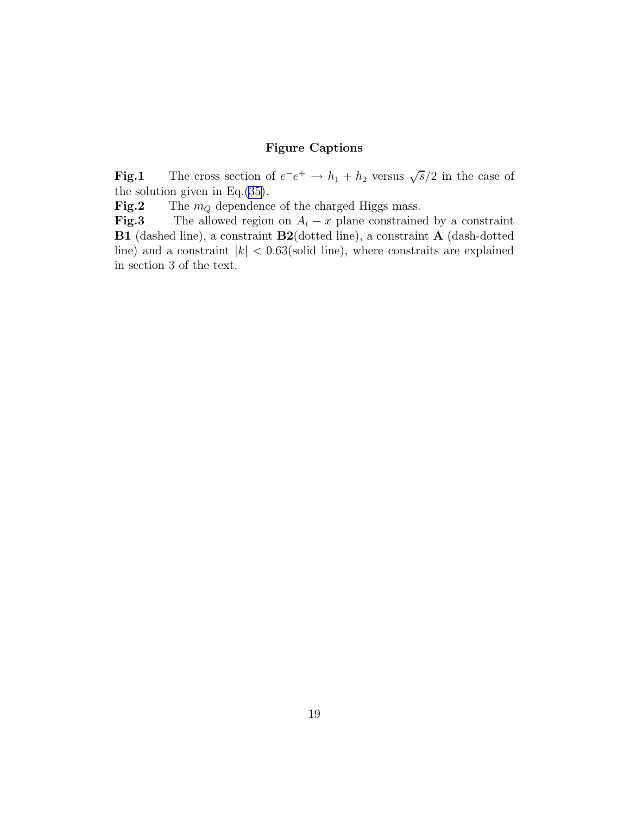#### Figure Captions

**Fig.1** The cross section of  $e^-e^+ \to h_1 + h_2$  versus  $\sqrt{s}/2$  in the case of the solution given in Eq.([35\)](#page-11-0).

**Fig.2** The  $m_Q$  dependence of the charged Higgs mass.

**Fig.3** The allowed region on  $A_t - x$  plane constrained by a constraint B1 (dashed line), a constraint B2(dotted line), a constraint A (dash-dotted line) and a constraint  $|k| < 0.63$  (solid line), where constraits are explained in section 3 of the text.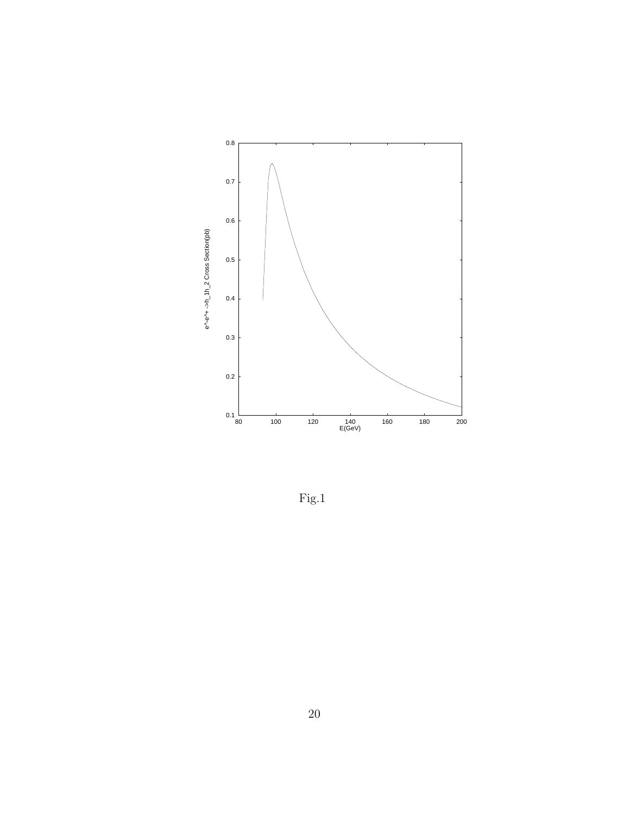

Fig.1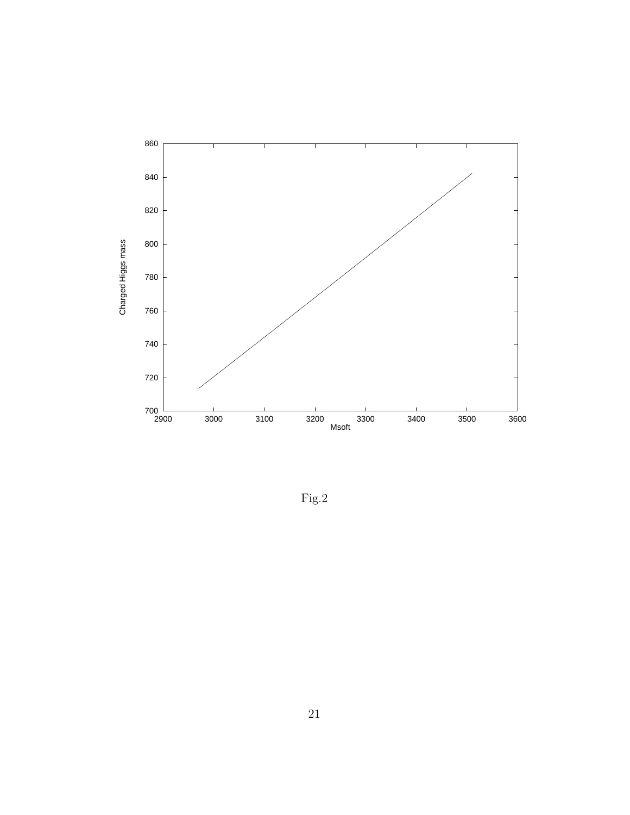

 ${\rm Fig.2}$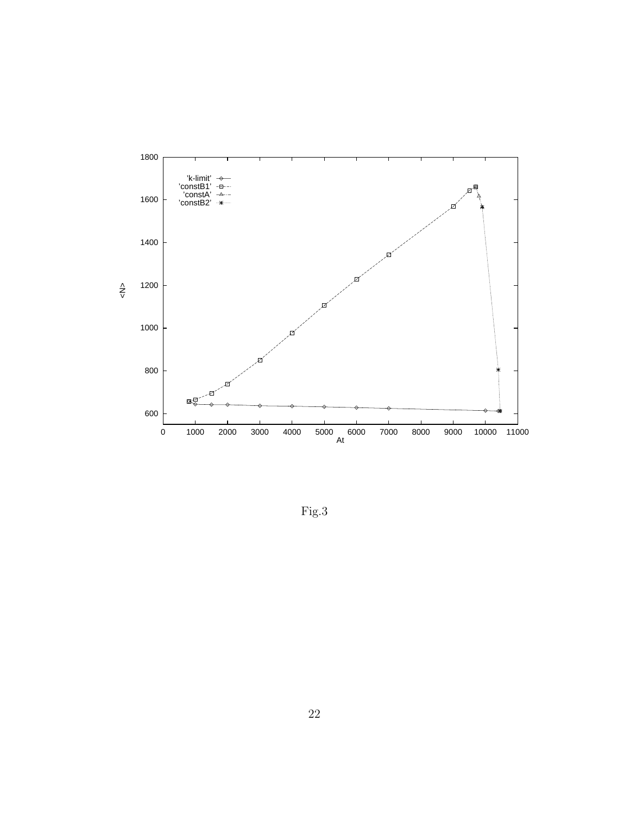

Fig.3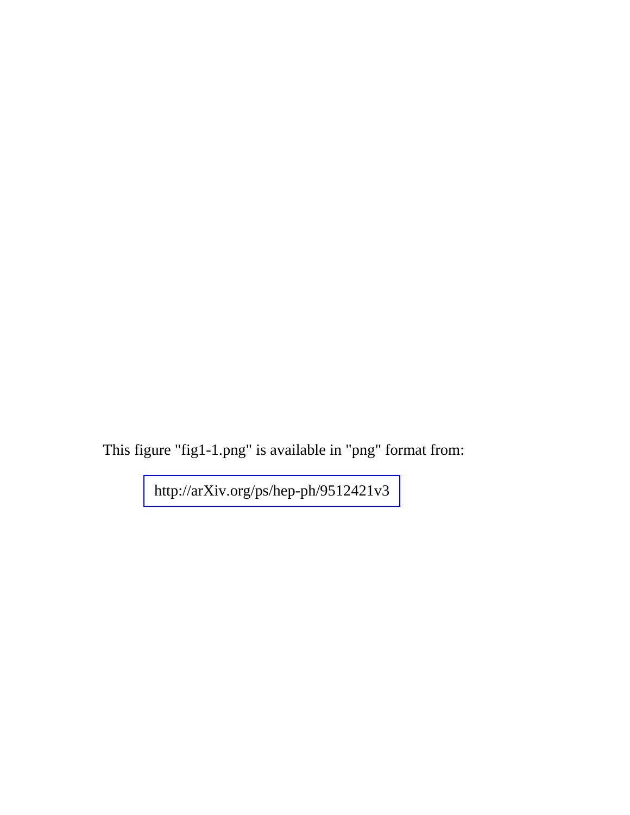This figure "fig1-1.png" is available in "png" format from:

<http://arXiv.org/ps/hep-ph/9512421v3>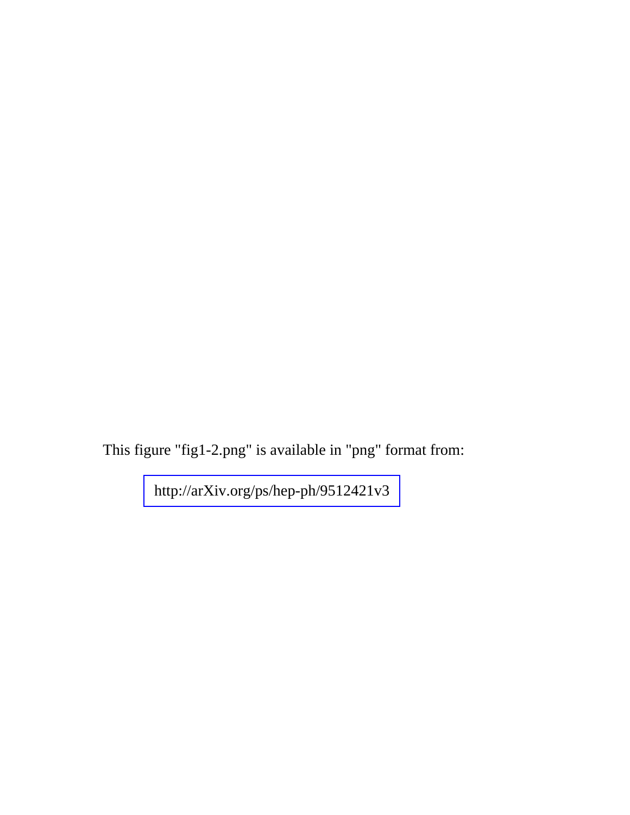This figure "fig1-2.png" is available in "png" format from:

<http://arXiv.org/ps/hep-ph/9512421v3>